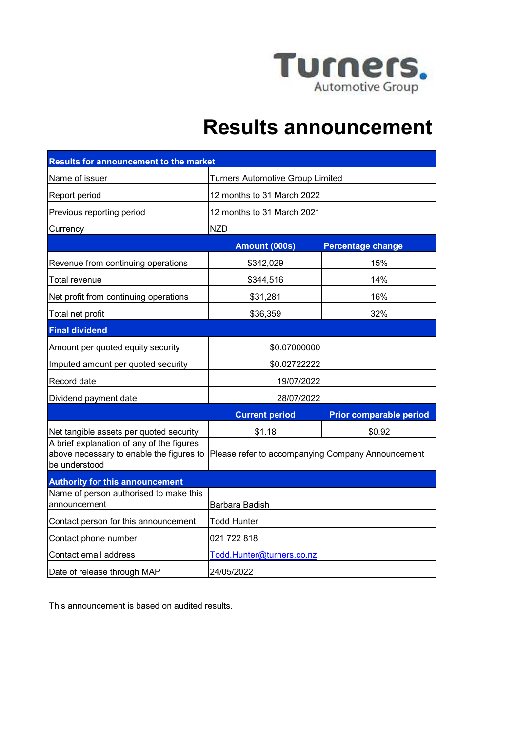

# **Results announcement**

| <b>Results for announcement to the market</b>                                                          |                                                   |                                |  |
|--------------------------------------------------------------------------------------------------------|---------------------------------------------------|--------------------------------|--|
| Name of issuer                                                                                         | <b>Turners Automotive Group Limited</b>           |                                |  |
| Report period                                                                                          | 12 months to 31 March 2022                        |                                |  |
| Previous reporting period                                                                              | 12 months to 31 March 2021                        |                                |  |
| Currency                                                                                               | <b>NZD</b>                                        |                                |  |
|                                                                                                        | Amount (000s)                                     | <b>Percentage change</b>       |  |
| Revenue from continuing operations                                                                     | \$342,029                                         | 15%                            |  |
| Total revenue                                                                                          | \$344,516                                         | 14%                            |  |
| Net profit from continuing operations                                                                  | \$31,281                                          | 16%                            |  |
| Total net profit                                                                                       | \$36,359                                          | 32%                            |  |
| <b>Final dividend</b>                                                                                  |                                                   |                                |  |
| Amount per quoted equity security                                                                      | \$0.07000000                                      |                                |  |
| Imputed amount per quoted security                                                                     | \$0.02722222                                      |                                |  |
| Record date                                                                                            | 19/07/2022                                        |                                |  |
| Dividend payment date                                                                                  | 28/07/2022                                        |                                |  |
|                                                                                                        | <b>Current period</b>                             | <b>Prior comparable period</b> |  |
| Net tangible assets per quoted security                                                                | \$1.18                                            | \$0.92                         |  |
| A brief explanation of any of the figures<br>above necessary to enable the figures to<br>be understood | Please refer to accompanying Company Announcement |                                |  |
| <b>Authority for this announcement</b>                                                                 |                                                   |                                |  |
| Name of person authorised to make this<br>announcement                                                 | Barbara Badish                                    |                                |  |
| Contact person for this announcement                                                                   | Todd Hunter                                       |                                |  |
| Contact phone number                                                                                   | 021 722 818                                       |                                |  |
| Contact email address                                                                                  | Todd.Hunter@turners.co.nz                         |                                |  |
| Date of release through MAP                                                                            | 24/05/2022                                        |                                |  |

This announcement is based on audited results.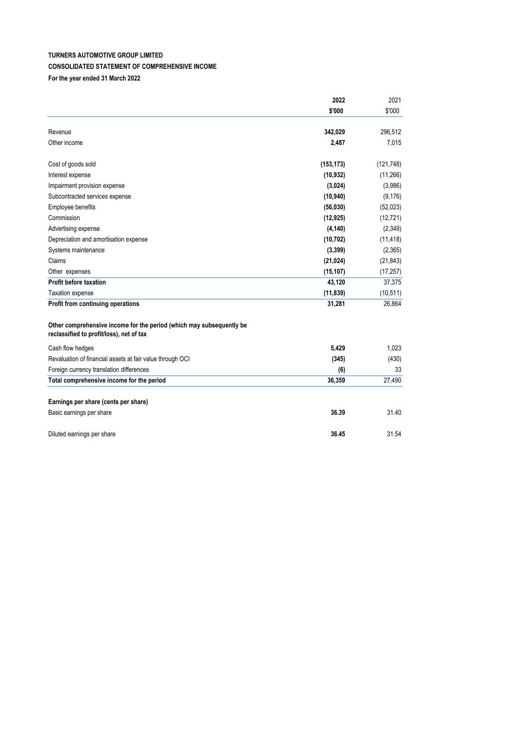# **TURNERS AUTOMOTIVE GROUP LIMITED CONSOLIDATED STATEMENT OF COMPREHENSIVE INCOME For the year ended 31 March 2022**

|                                                                                                                  | 2022       | 2021       |
|------------------------------------------------------------------------------------------------------------------|------------|------------|
|                                                                                                                  | \$'000     | \$'000     |
| Revenue                                                                                                          | 342,029    | 296,512    |
| Other income                                                                                                     | 2,487      | 7,015      |
| Cost of goods sold                                                                                               | (153, 173) | (121, 748) |
| Interest expense                                                                                                 | (10, 932)  | (11, 266)  |
| Impairment provision expense                                                                                     | (3,024)    | (3,986)    |
| Subcontracted services expense                                                                                   | (10, 940)  | (9, 176)   |
| Employee benefits                                                                                                | (56,030)   | (52, 023)  |
| Commission                                                                                                       | (12, 925)  | (12, 721)  |
| Advertising expense                                                                                              | (4, 140)   | (2, 349)   |
| Depreciation and amortisation expense                                                                            | (10, 702)  | (11, 418)  |
| Systems maintenance                                                                                              | (3, 399)   | (2,365)    |
| Claims                                                                                                           | (21, 024)  | (21, 843)  |
| Other expenses                                                                                                   | (15, 107)  | (17, 257)  |
| <b>Profit before taxation</b>                                                                                    | 43,120     | 37,375     |
| <b>Taxation expense</b>                                                                                          | (11, 839)  | (10, 511)  |
| Profit from continuing operations                                                                                | 31,281     | 26,864     |
| Other comprehensive income for the period (which may subsequently be<br>reclassified to profit/loss), net of tax |            |            |
| Cash flow hedges                                                                                                 | 5,429      | 1,023      |
| Revaluation of financial assets at fair value through OCI                                                        | (345)      | (430)      |
| Foreign currency translation differences                                                                         | (6)        | 33         |
| Total comprehensive income for the period                                                                        | 36,359     | 27,490     |
| Earnings per share (cents per share)                                                                             |            |            |
| Basic earnings per share                                                                                         | 36.39      | 31.40      |
| Diluted earnings per share                                                                                       | 36.45      | 31.54      |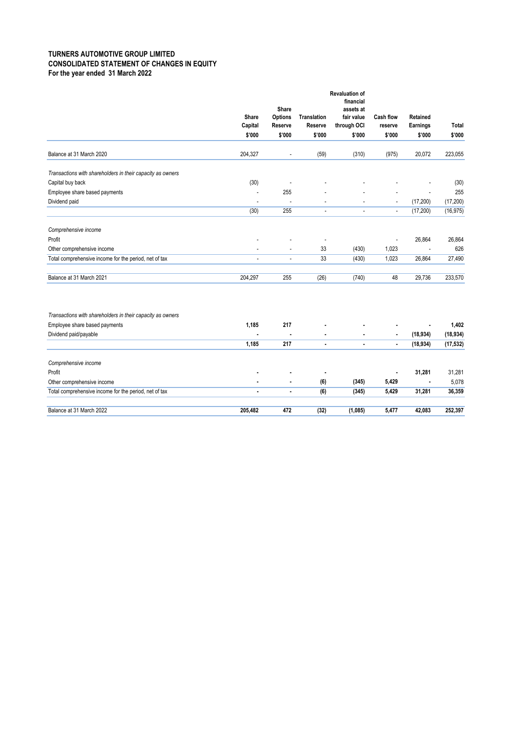### **TURNERS AUTOMOTIVE GROUP LIMITED CONSOLIDATED STATEMENT OF CHANGES IN EQUITY For the year ended 31 March 2022**

|                                                            | Share<br>Capital | Share<br>Options<br>Reserve | Translation<br>Reserve   | <b>Revaluation of</b><br>financial<br>assets at<br>fair value<br>through OCI | Cash flow<br>reserve     | Retained<br>Earnings | Total     |
|------------------------------------------------------------|------------------|-----------------------------|--------------------------|------------------------------------------------------------------------------|--------------------------|----------------------|-----------|
|                                                            | \$'000           | \$'000                      | \$'000                   | \$'000                                                                       | \$'000                   | \$'000               | \$'000    |
|                                                            |                  |                             |                          |                                                                              |                          |                      |           |
| Balance at 31 March 2020                                   | 204,327          | ÷,                          | (59)                     | (310)                                                                        | (975)                    | 20,072               | 223,055   |
| Transactions with shareholders in their capacity as owners |                  |                             |                          |                                                                              |                          |                      |           |
| Capital buy back                                           | (30)             | ÷,                          |                          |                                                                              |                          |                      | (30)      |
| Employee share based payments                              | $\overline{a}$   | 255                         |                          |                                                                              |                          |                      | 255       |
| Dividend paid                                              |                  | ÷,                          | ä,                       | ä,                                                                           | $\overline{\phantom{a}}$ | (17, 200)            | (17, 200) |
|                                                            | (30)             | 255                         | $\sim$                   | ä,                                                                           | $\tilde{\phantom{a}}$    | (17, 200)            | (16, 975) |
| Comprehensive income                                       |                  |                             |                          |                                                                              |                          |                      |           |
| Profit                                                     |                  |                             | $\overline{\phantom{a}}$ |                                                                              |                          | 26,864               | 26,864    |
| Other comprehensive income                                 | $\overline{a}$   | ÷,                          | 33                       | (430)                                                                        | 1,023                    |                      | 626       |
| Total comprehensive income for the period, net of tax      | ÷.               | Ĭ.                          | 33                       | (430)                                                                        | 1,023                    | 26,864               | 27,490    |
| Balance at 31 March 2021                                   | 204,297          | 255                         | (26)                     | (740)                                                                        | 48                       | 29,736               | 233,570   |
| Transactions with shareholders in their capacity as owners |                  |                             |                          |                                                                              |                          |                      |           |
| Employee share based payments                              | 1,185            | 217                         |                          |                                                                              |                          | ٠                    | 1,402     |
| Dividend paid/payable                                      |                  | $\blacksquare$              |                          |                                                                              |                          | (18, 934)            | (18, 934) |
|                                                            | 1,185            | 217                         |                          |                                                                              |                          | (18, 934)            | (17, 532) |
| Comprehensive income                                       |                  |                             |                          |                                                                              |                          |                      |           |
| Profit                                                     |                  |                             | $\blacksquare$           |                                                                              |                          | 31,281               | 31,281    |
| Other comprehensive income                                 |                  |                             | (6)                      | (345)                                                                        | 5,429                    | ٠                    | 5,078     |
| Total comprehensive income for the period, net of tax      |                  | $\blacksquare$              | (6)                      | (345)                                                                        | 5,429                    | 31,281               | 36,359    |
| Balance at 31 March 2022                                   | 205,482          | 472                         | (32)                     | (1,085)                                                                      | 5,477                    | 42,083               | 252,397   |
|                                                            |                  |                             |                          |                                                                              |                          |                      |           |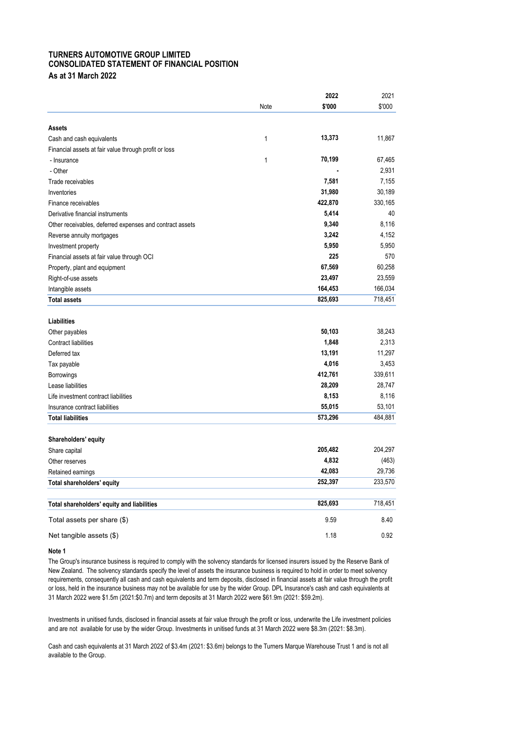#### **TURNERS AUTOMOTIVE GROUP LIMITED CONSOLIDATED STATEMENT OF FINANCIAL POSITION As at 31 March 2022**

|                                                          |      | 2022    | 2021    |
|----------------------------------------------------------|------|---------|---------|
|                                                          | Note | \$'000  | \$'000  |
| Assets                                                   |      |         |         |
| Cash and cash equivalents                                | 1    | 13,373  | 11,867  |
| Financial assets at fair value through profit or loss    |      |         |         |
| - Insurance                                              | 1    | 70,199  | 67,465  |
| - Other                                                  |      |         | 2,931   |
| Trade receivables                                        |      | 7,581   | 7,155   |
| Inventories                                              |      | 31,980  | 30,189  |
| Finance receivables                                      |      | 422,870 | 330,165 |
| Derivative financial instruments                         |      | 5,414   | 40      |
| Other receivables, deferred expenses and contract assets |      | 9,340   | 8.116   |
| Reverse annuity mortgages                                |      | 3,242   | 4,152   |
| Investment property                                      |      | 5,950   | 5,950   |
| Financial assets at fair value through OCI               |      | 225     | 570     |
| Property, plant and equipment                            |      | 67,569  | 60,258  |
| Right-of-use assets                                      |      | 23,497  | 23,559  |
| Intangible assets                                        |      | 164,453 | 166,034 |
| <b>Total assets</b>                                      |      | 825,693 | 718,451 |
|                                                          |      |         |         |
| <b>Liabilities</b>                                       |      |         |         |
| Other payables                                           |      | 50,103  | 38,243  |
| <b>Contract liabilities</b>                              |      | 1,848   | 2,313   |
| Deferred tax                                             |      | 13,191  | 11,297  |
| Tax payable                                              |      | 4,016   | 3,453   |
| Borrowings                                               |      | 412,761 | 339,611 |
| Lease liabilities                                        |      | 28,209  | 28,747  |
| Life investment contract liabilities                     |      | 8,153   | 8,116   |
| Insurance contract liabilities                           |      | 55,015  | 53,101  |
| <b>Total liabilities</b>                                 |      | 573,296 | 484,881 |
|                                                          |      |         |         |
| Shareholders' equity                                     |      |         |         |
| Share capital                                            |      | 205,482 | 204,297 |
| Other reserves                                           |      | 4,832   | (463)   |
| Retained earnings                                        |      | 42,083  | 29,736  |
| Total shareholders' equity                               |      | 252,397 | 233,570 |
|                                                          |      |         |         |
| Total shareholders' equity and liabilities               |      | 825,693 | 718,451 |
| Total assets per share (\$)                              |      | 9.59    | 8.40    |
| Net tangible assets (\$)                                 |      | 1.18    | 0.92    |
|                                                          |      |         |         |

**Note 1**

The Group's insurance business is required to comply with the solvency standards for licensed insurers issued by the Reserve Bank of New Zealand. The solvency standards specify the level of assets the insurance business is required to hold in order to meet solvency requirements, consequently all cash and cash equivalents and term deposits, disclosed in financial assets at fair value through the profit or loss, held in the insurance business may not be available for use by the wider Group. DPL Insurance's cash and cash equivalents at 31 March 2022 were \$1.5m (2021:\$0.7m) and term deposits at 31 March 2022 were \$61.9m (2021: \$59.2m).

Investments in unitised funds, disclosed in financial assets at fair value through the profit or loss, underwrite the Life investment policies and are not available for use by the wider Group. Investments in unitised funds at 31 March 2022 were \$8.3m (2021: \$8.3m).

Cash and cash equivalents at 31 March 2022 of \$3.4m (2021: \$3.6m) belongs to the Turners Marque Warehouse Trust 1 and is not all available to the Group.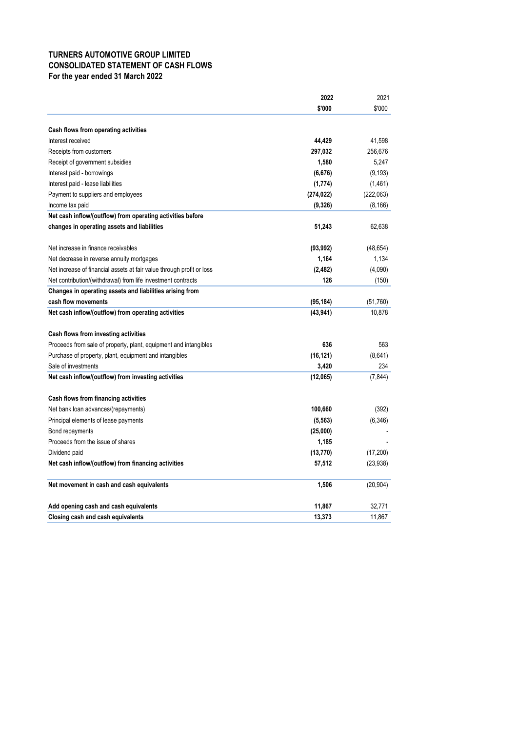# **TURNERS AUTOMOTIVE GROUP LIMITED CONSOLIDATED STATEMENT OF CASH FLOWS For the year ended 31 March 2022**

| \$'000<br>\$'000<br>Cash flows from operating activities<br>44,429<br>41.598<br>Interest received<br>297,032<br>256,676<br>Receipts from customers<br>1,580<br>5,247<br>Receipt of government subsidies<br>(9, 193)<br>Interest paid - borrowings<br>(6,676)<br>Interest paid - lease liabilities<br>(1, 774)<br>(1,461)<br>Payment to suppliers and employees<br>(274, 022)<br>(222,063)<br>(9,326)<br>(8, 166)<br>Income tax paid<br>Net cash inflow/(outflow) from operating activities before<br>changes in operating assets and liabilities<br>51,243<br>62,638<br>Net increase in finance receivables<br>(93, 992)<br>(48, 654)<br>1,164<br>1,134<br>Net decrease in reverse annuity mortgages<br>(4,090)<br>Net increase of financial assets at fair value through profit or loss<br>(2, 482)<br>126<br>Net contribution/(withdrawal) from life investment contracts<br>(150)<br>Changes in operating assets and liabilities arising from<br>cash flow movements<br>(95,184)<br>(51,760)<br>Net cash inflow/(outflow) from operating activities<br>(43, 941)<br>10,878<br>Cash flows from investing activities<br>636<br>563<br>Proceeds from sale of property, plant, equipment and intangibles<br>(16, 121)<br>(8,641)<br>Purchase of property, plant, equipment and intangibles<br>234<br>Sale of investments<br>3,420<br>Net cash inflow/(outflow) from investing activities<br>(7, 844)<br>(12,065)<br>Cash flows from financing activities<br>100,660<br>(392)<br>Net bank loan advances/(repayments)<br>Principal elements of lease payments<br>(5, 563)<br>(6, 346)<br>(25,000)<br>Bond repayments<br>Proceeds from the issue of shares<br>1,185<br>Dividend paid<br>(13, 770)<br>(17, 200)<br>Net cash inflow/(outflow) from financing activities<br>57,512<br>(23, 938)<br>1,506<br>(20, 904)<br>Net movement in cash and cash equivalents<br>Add opening cash and cash equivalents<br>11,867<br>32,771<br>13,373<br>11,867<br><b>Closing cash and cash equivalents</b> | 2022 | 2021 |
|------------------------------------------------------------------------------------------------------------------------------------------------------------------------------------------------------------------------------------------------------------------------------------------------------------------------------------------------------------------------------------------------------------------------------------------------------------------------------------------------------------------------------------------------------------------------------------------------------------------------------------------------------------------------------------------------------------------------------------------------------------------------------------------------------------------------------------------------------------------------------------------------------------------------------------------------------------------------------------------------------------------------------------------------------------------------------------------------------------------------------------------------------------------------------------------------------------------------------------------------------------------------------------------------------------------------------------------------------------------------------------------------------------------------------------------------------------------------------------------------------------------------------------------------------------------------------------------------------------------------------------------------------------------------------------------------------------------------------------------------------------------------------------------------------------------------------------------------------------------------------------------------------------------------------------------------------------------------------------------|------|------|
|                                                                                                                                                                                                                                                                                                                                                                                                                                                                                                                                                                                                                                                                                                                                                                                                                                                                                                                                                                                                                                                                                                                                                                                                                                                                                                                                                                                                                                                                                                                                                                                                                                                                                                                                                                                                                                                                                                                                                                                          |      |      |
|                                                                                                                                                                                                                                                                                                                                                                                                                                                                                                                                                                                                                                                                                                                                                                                                                                                                                                                                                                                                                                                                                                                                                                                                                                                                                                                                                                                                                                                                                                                                                                                                                                                                                                                                                                                                                                                                                                                                                                                          |      |      |
|                                                                                                                                                                                                                                                                                                                                                                                                                                                                                                                                                                                                                                                                                                                                                                                                                                                                                                                                                                                                                                                                                                                                                                                                                                                                                                                                                                                                                                                                                                                                                                                                                                                                                                                                                                                                                                                                                                                                                                                          |      |      |
|                                                                                                                                                                                                                                                                                                                                                                                                                                                                                                                                                                                                                                                                                                                                                                                                                                                                                                                                                                                                                                                                                                                                                                                                                                                                                                                                                                                                                                                                                                                                                                                                                                                                                                                                                                                                                                                                                                                                                                                          |      |      |
|                                                                                                                                                                                                                                                                                                                                                                                                                                                                                                                                                                                                                                                                                                                                                                                                                                                                                                                                                                                                                                                                                                                                                                                                                                                                                                                                                                                                                                                                                                                                                                                                                                                                                                                                                                                                                                                                                                                                                                                          |      |      |
|                                                                                                                                                                                                                                                                                                                                                                                                                                                                                                                                                                                                                                                                                                                                                                                                                                                                                                                                                                                                                                                                                                                                                                                                                                                                                                                                                                                                                                                                                                                                                                                                                                                                                                                                                                                                                                                                                                                                                                                          |      |      |
|                                                                                                                                                                                                                                                                                                                                                                                                                                                                                                                                                                                                                                                                                                                                                                                                                                                                                                                                                                                                                                                                                                                                                                                                                                                                                                                                                                                                                                                                                                                                                                                                                                                                                                                                                                                                                                                                                                                                                                                          |      |      |
|                                                                                                                                                                                                                                                                                                                                                                                                                                                                                                                                                                                                                                                                                                                                                                                                                                                                                                                                                                                                                                                                                                                                                                                                                                                                                                                                                                                                                                                                                                                                                                                                                                                                                                                                                                                                                                                                                                                                                                                          |      |      |
|                                                                                                                                                                                                                                                                                                                                                                                                                                                                                                                                                                                                                                                                                                                                                                                                                                                                                                                                                                                                                                                                                                                                                                                                                                                                                                                                                                                                                                                                                                                                                                                                                                                                                                                                                                                                                                                                                                                                                                                          |      |      |
|                                                                                                                                                                                                                                                                                                                                                                                                                                                                                                                                                                                                                                                                                                                                                                                                                                                                                                                                                                                                                                                                                                                                                                                                                                                                                                                                                                                                                                                                                                                                                                                                                                                                                                                                                                                                                                                                                                                                                                                          |      |      |
|                                                                                                                                                                                                                                                                                                                                                                                                                                                                                                                                                                                                                                                                                                                                                                                                                                                                                                                                                                                                                                                                                                                                                                                                                                                                                                                                                                                                                                                                                                                                                                                                                                                                                                                                                                                                                                                                                                                                                                                          |      |      |
|                                                                                                                                                                                                                                                                                                                                                                                                                                                                                                                                                                                                                                                                                                                                                                                                                                                                                                                                                                                                                                                                                                                                                                                                                                                                                                                                                                                                                                                                                                                                                                                                                                                                                                                                                                                                                                                                                                                                                                                          |      |      |
|                                                                                                                                                                                                                                                                                                                                                                                                                                                                                                                                                                                                                                                                                                                                                                                                                                                                                                                                                                                                                                                                                                                                                                                                                                                                                                                                                                                                                                                                                                                                                                                                                                                                                                                                                                                                                                                                                                                                                                                          |      |      |
|                                                                                                                                                                                                                                                                                                                                                                                                                                                                                                                                                                                                                                                                                                                                                                                                                                                                                                                                                                                                                                                                                                                                                                                                                                                                                                                                                                                                                                                                                                                                                                                                                                                                                                                                                                                                                                                                                                                                                                                          |      |      |
|                                                                                                                                                                                                                                                                                                                                                                                                                                                                                                                                                                                                                                                                                                                                                                                                                                                                                                                                                                                                                                                                                                                                                                                                                                                                                                                                                                                                                                                                                                                                                                                                                                                                                                                                                                                                                                                                                                                                                                                          |      |      |
|                                                                                                                                                                                                                                                                                                                                                                                                                                                                                                                                                                                                                                                                                                                                                                                                                                                                                                                                                                                                                                                                                                                                                                                                                                                                                                                                                                                                                                                                                                                                                                                                                                                                                                                                                                                                                                                                                                                                                                                          |      |      |
|                                                                                                                                                                                                                                                                                                                                                                                                                                                                                                                                                                                                                                                                                                                                                                                                                                                                                                                                                                                                                                                                                                                                                                                                                                                                                                                                                                                                                                                                                                                                                                                                                                                                                                                                                                                                                                                                                                                                                                                          |      |      |
|                                                                                                                                                                                                                                                                                                                                                                                                                                                                                                                                                                                                                                                                                                                                                                                                                                                                                                                                                                                                                                                                                                                                                                                                                                                                                                                                                                                                                                                                                                                                                                                                                                                                                                                                                                                                                                                                                                                                                                                          |      |      |
|                                                                                                                                                                                                                                                                                                                                                                                                                                                                                                                                                                                                                                                                                                                                                                                                                                                                                                                                                                                                                                                                                                                                                                                                                                                                                                                                                                                                                                                                                                                                                                                                                                                                                                                                                                                                                                                                                                                                                                                          |      |      |
|                                                                                                                                                                                                                                                                                                                                                                                                                                                                                                                                                                                                                                                                                                                                                                                                                                                                                                                                                                                                                                                                                                                                                                                                                                                                                                                                                                                                                                                                                                                                                                                                                                                                                                                                                                                                                                                                                                                                                                                          |      |      |
|                                                                                                                                                                                                                                                                                                                                                                                                                                                                                                                                                                                                                                                                                                                                                                                                                                                                                                                                                                                                                                                                                                                                                                                                                                                                                                                                                                                                                                                                                                                                                                                                                                                                                                                                                                                                                                                                                                                                                                                          |      |      |
|                                                                                                                                                                                                                                                                                                                                                                                                                                                                                                                                                                                                                                                                                                                                                                                                                                                                                                                                                                                                                                                                                                                                                                                                                                                                                                                                                                                                                                                                                                                                                                                                                                                                                                                                                                                                                                                                                                                                                                                          |      |      |
|                                                                                                                                                                                                                                                                                                                                                                                                                                                                                                                                                                                                                                                                                                                                                                                                                                                                                                                                                                                                                                                                                                                                                                                                                                                                                                                                                                                                                                                                                                                                                                                                                                                                                                                                                                                                                                                                                                                                                                                          |      |      |
|                                                                                                                                                                                                                                                                                                                                                                                                                                                                                                                                                                                                                                                                                                                                                                                                                                                                                                                                                                                                                                                                                                                                                                                                                                                                                                                                                                                                                                                                                                                                                                                                                                                                                                                                                                                                                                                                                                                                                                                          |      |      |
|                                                                                                                                                                                                                                                                                                                                                                                                                                                                                                                                                                                                                                                                                                                                                                                                                                                                                                                                                                                                                                                                                                                                                                                                                                                                                                                                                                                                                                                                                                                                                                                                                                                                                                                                                                                                                                                                                                                                                                                          |      |      |
|                                                                                                                                                                                                                                                                                                                                                                                                                                                                                                                                                                                                                                                                                                                                                                                                                                                                                                                                                                                                                                                                                                                                                                                                                                                                                                                                                                                                                                                                                                                                                                                                                                                                                                                                                                                                                                                                                                                                                                                          |      |      |
|                                                                                                                                                                                                                                                                                                                                                                                                                                                                                                                                                                                                                                                                                                                                                                                                                                                                                                                                                                                                                                                                                                                                                                                                                                                                                                                                                                                                                                                                                                                                                                                                                                                                                                                                                                                                                                                                                                                                                                                          |      |      |
|                                                                                                                                                                                                                                                                                                                                                                                                                                                                                                                                                                                                                                                                                                                                                                                                                                                                                                                                                                                                                                                                                                                                                                                                                                                                                                                                                                                                                                                                                                                                                                                                                                                                                                                                                                                                                                                                                                                                                                                          |      |      |
|                                                                                                                                                                                                                                                                                                                                                                                                                                                                                                                                                                                                                                                                                                                                                                                                                                                                                                                                                                                                                                                                                                                                                                                                                                                                                                                                                                                                                                                                                                                                                                                                                                                                                                                                                                                                                                                                                                                                                                                          |      |      |
|                                                                                                                                                                                                                                                                                                                                                                                                                                                                                                                                                                                                                                                                                                                                                                                                                                                                                                                                                                                                                                                                                                                                                                                                                                                                                                                                                                                                                                                                                                                                                                                                                                                                                                                                                                                                                                                                                                                                                                                          |      |      |
|                                                                                                                                                                                                                                                                                                                                                                                                                                                                                                                                                                                                                                                                                                                                                                                                                                                                                                                                                                                                                                                                                                                                                                                                                                                                                                                                                                                                                                                                                                                                                                                                                                                                                                                                                                                                                                                                                                                                                                                          |      |      |
|                                                                                                                                                                                                                                                                                                                                                                                                                                                                                                                                                                                                                                                                                                                                                                                                                                                                                                                                                                                                                                                                                                                                                                                                                                                                                                                                                                                                                                                                                                                                                                                                                                                                                                                                                                                                                                                                                                                                                                                          |      |      |
|                                                                                                                                                                                                                                                                                                                                                                                                                                                                                                                                                                                                                                                                                                                                                                                                                                                                                                                                                                                                                                                                                                                                                                                                                                                                                                                                                                                                                                                                                                                                                                                                                                                                                                                                                                                                                                                                                                                                                                                          |      |      |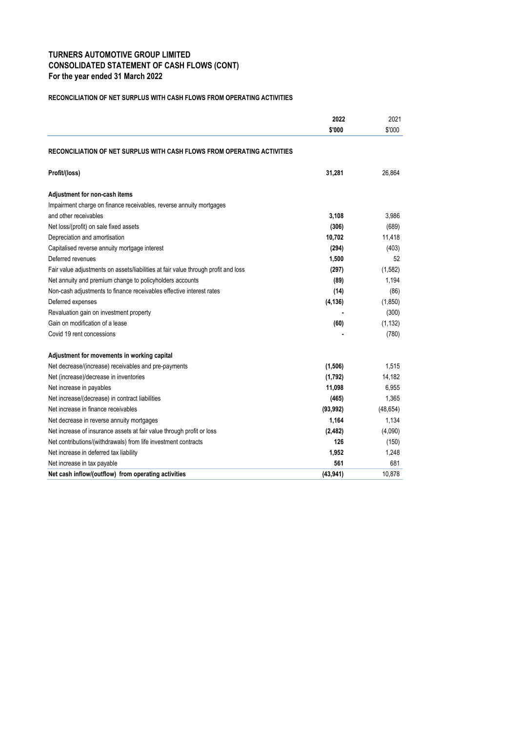# **TURNERS AUTOMOTIVE GROUP LIMITED CONSOLIDATED STATEMENT OF CASH FLOWS (CONT) For the year ended 31 March 2022**

#### **RECONCILIATION OF NET SURPLUS WITH CASH FLOWS FROM OPERATING ACTIVITIES**

|                                                                                    | 2022      | 2021      |
|------------------------------------------------------------------------------------|-----------|-----------|
|                                                                                    | \$'000    | \$'000    |
| RECONCILIATION OF NET SURPLUS WITH CASH FLOWS FROM OPERATING ACTIVITIES            |           |           |
| Profit/(loss)                                                                      | 31,281    | 26.864    |
| Adjustment for non-cash items                                                      |           |           |
| Impairment charge on finance receivables, reverse annuity mortgages                |           |           |
| and other receivables                                                              | 3,108     | 3,986     |
| Net loss/(profit) on sale fixed assets                                             | (306)     | (689)     |
| Depreciation and amortisation                                                      | 10,702    | 11,418    |
| Capitalised reverse annuity mortgage interest                                      | (294)     | (403)     |
| Deferred revenues                                                                  | 1,500     | 52        |
| Fair value adjustments on assets/liabilities at fair value through profit and loss | (297)     | (1,582)   |
| Net annuity and premium change to policyholders accounts                           | (89)      | 1,194     |
| Non-cash adjustments to finance receivables effective interest rates               | (14)      | (86)      |
| Deferred expenses                                                                  | (4, 136)  | (1,850)   |
| Revaluation gain on investment property                                            |           | (300)     |
| Gain on modification of a lease                                                    | (60)      | (1, 132)  |
| Covid 19 rent concessions                                                          |           | (780)     |
| Adjustment for movements in working capital                                        |           |           |
| Net decrease/(increase) receivables and pre-payments                               | (1, 506)  | 1.515     |
| Net (increase)/decrease in inventories                                             | (1,792)   | 14,182    |
| Net increase in payables                                                           | 11,098    | 6,955     |
| Net increase/(decrease) in contract liabilities                                    | (465)     | 1,365     |
| Net increase in finance receivables                                                | (93, 992) | (48, 654) |
| Net decrease in reverse annuity mortgages                                          | 1,164     | 1,134     |
| Net increase of insurance assets at fair value through profit or loss              | (2, 482)  | (4,090)   |
| Net contributions/(withdrawals) from life investment contracts                     | 126       | (150)     |
| Net increase in deferred tax liability                                             | 1,952     | 1,248     |
| Net increase in tax payable                                                        | 561       | 681       |
| Net cash inflow/(outflow) from operating activities                                | (43, 941) | 10,878    |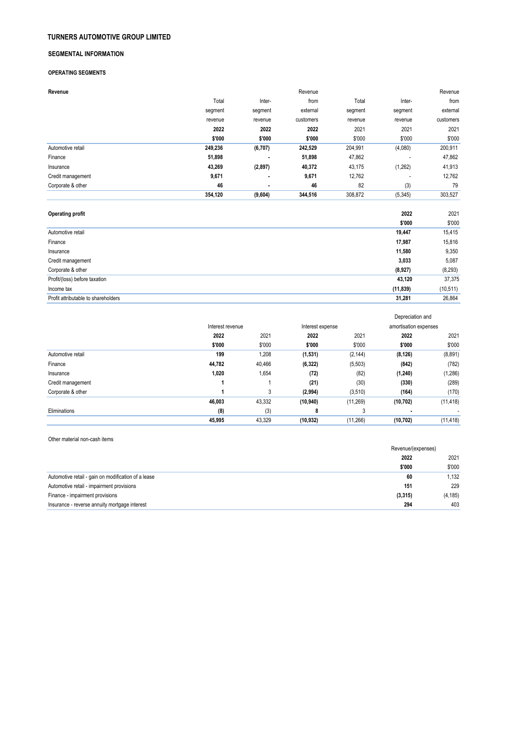#### **TURNERS AUTOMOTIVE GROUP LIMITED**

#### **SEGMENTAL INFORMATION**

#### **OPERATING SEGMENTS**

| Revenue           |         |                | Revenue   |         |          | Revenue   |
|-------------------|---------|----------------|-----------|---------|----------|-----------|
|                   | Total   | Inter-         | from      | Total   | Inter-   | from      |
|                   | segment | segment        | external  | segment | segment  | external  |
|                   | revenue | revenue        | customers | revenue | revenue  | customers |
|                   | 2022    | 2022           | 2022      | 2021    | 2021     | 2021      |
|                   | \$'000  | \$'000         | \$'000    | \$'000  | \$'000   | \$'000    |
| Automotive retail | 249,236 | (6,707)        | 242,529   | 204,991 | (4,080)  | 200,911   |
| Finance           | 51,898  | $\blacksquare$ | 51,898    | 47,862  | ٠        | 47,862    |
| Insurance         | 43,269  | (2, 897)       | 40,372    | 43,175  | (1,262)  | 41,913    |
| Credit management | 9,671   | $\bullet$      | 9,671     | 12,762  | ۰        | 12,762    |
| Corporate & other | 46      | $\blacksquare$ | 46        | 82      | (3)      | 79        |
|                   | 354,120 | (9,604)        | 344,516   | 308,872 | (5, 345) | 303,527   |

| <b>Operating profit</b>             | 2022      | 2021      |
|-------------------------------------|-----------|-----------|
|                                     | \$'000    | \$'000    |
| Automotive retail                   | 19,447    | 15,415    |
| Finance                             | 17,987    | 15,816    |
| Insurance                           | 11,580    | 9,350     |
| Credit management                   | 3,033     | 5,087     |
| Corporate & other                   | (8,927)   | (8, 293)  |
| Profit/(loss) before taxation       | 43,120    | 37,375    |
| Income tax                          | (11, 839) | (10, 511) |
| Profit attributable to shareholders | 31,281    | 26.864    |

|                   |                  |        |                  |           | Depreciation and      |           |
|-------------------|------------------|--------|------------------|-----------|-----------------------|-----------|
|                   | Interest revenue |        | Interest expense |           | amortisation expenses |           |
|                   | 2022             | 2021   | 2022             | 2021      | 2022                  | 2021      |
|                   | \$'000           | \$'000 | \$'000           | \$'000    | \$'000                | \$'000    |
| Automotive retail | 199              | 1,208  | (1,531)          | (2, 144)  | (8, 126)              | (8,891)   |
| Finance           | 44,782           | 40,466 | (6, 322)         | (5,503)   | (842)                 | (782)     |
| Insurance         | 1,020            | 1,654  | (72)             | (82)      | (1,240)               | (1, 286)  |
| Credit management |                  |        | (21)             | (30)      | (330)                 | (289)     |
| Corporate & other |                  | 3      | (2,994)          | (3,510)   | (164)                 | (170)     |
|                   | 46,003           | 43,332 | (10, 940)        | (11, 269) | (10, 702)             | (11, 418) |
| Eliminations      | (8)              | (3)    | 8                | 3         |                       |           |
|                   | 45,995           | 43,329 | (10, 932)        | (11, 266) | (10, 702)             | (11, 418) |

Other material non-cash items

|                                                     | Revenue/(expenses) |          |
|-----------------------------------------------------|--------------------|----------|
|                                                     | 2021<br>2022       |          |
|                                                     | \$'000             | \$'000   |
| Automotive retail - gain on modification of a lease | 60                 | 1,132    |
| Automotive retail - impairment provisions           | 151                | 229      |
| Finance - impairment provisions                     | (3, 315)           | (4, 185) |
| Insurance - reverse annuity mortgage interest       | 294                | 403      |
|                                                     |                    |          |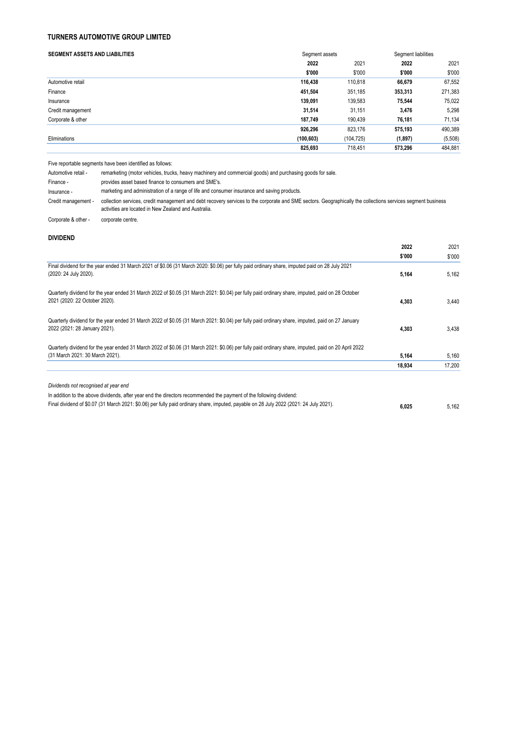## **TURNERS AUTOMOTIVE GROUP LIMITED**

| <b>SEGMENT ASSETS AND LIABILITIES</b> | Segment assets |            |         | Segment liabilities |  |
|---------------------------------------|----------------|------------|---------|---------------------|--|
|                                       | 2022           | 2021       | 2022    | 2021                |  |
|                                       | \$'000         | \$'000     | \$'000  | \$'000              |  |
| Automotive retail                     | 116,438        | 110,818    | 66,679  | 67,552              |  |
| Finance                               | 451.504        | 351,185    | 353,313 | 271,383             |  |
| Insurance                             | 139,091        | 139,583    | 75.544  | 75,022              |  |
| Credit management                     | 31.514         | 31.151     | 3,476   | 5,298               |  |
| Corporate & other                     | 187,749        | 190,439    | 76,181  | 71,134              |  |
|                                       | 926,296        | 823,176    | 575,193 | 490,389             |  |
| Eliminations                          | (100, 603)     | (104, 725) | (1,897) | (5,508)             |  |
|                                       | 825,693        | 718.451    | 573,296 | 484,881             |  |

Five reportable segments have been identified as follows:

| Automotive retail - | remarketing (motor vehicles, trucks, heavy machinery and commercial goods) and purchasing goods for sale.                                                                                                            |
|---------------------|----------------------------------------------------------------------------------------------------------------------------------------------------------------------------------------------------------------------|
| Finance -           | provides asset based finance to consumers and SME's.                                                                                                                                                                 |
| Insurance -         | marketing and administration of a range of life and consumer insurance and saving products.                                                                                                                          |
| Credit management - | collection services, credit management and debt recovery services to the corporate and SME sectors. Geographically the collections services segment business<br>activities are located in New Zealand and Australia. |
| Corporate & other - | corporate centre.                                                                                                                                                                                                    |

#### **DIVIDEND**

|                                                                                                                                                     | 2022   | 2021   |
|-----------------------------------------------------------------------------------------------------------------------------------------------------|--------|--------|
|                                                                                                                                                     | \$'000 | \$000  |
| Final dividend for the year ended 31 March 2021 of \$0.06 (31 March 2020: \$0.06) per fully paid ordinary share, imputed paid on 28 July 2021       |        |        |
| (2020: 24 July 2020).                                                                                                                               | 5,164  | 5,162  |
| Quarterly dividend for the year ended 31 March 2022 of \$0.05 (31 March 2021: \$0.04) per fully paid ordinary share, imputed, paid on 28 October    |        |        |
| 2021 (2020: 22 October 2020).                                                                                                                       | 4,303  | 3,440  |
| Quarterly dividend for the year ended 31 March 2022 of \$0.05 (31 March 2021: \$0.04) per fully paid ordinary share, imputed, paid on 27 January    |        |        |
| 2022 (2021: 28 January 2021).                                                                                                                       | 4,303  | 3.438  |
| Quarterly dividend for the year ended 31 March 2022 of \$0.06 (31 March 2021: \$0.06) per fully paid ordinary share, imputed, paid on 20 April 2022 |        |        |
| (31 March 2021: 30 March 2021).                                                                                                                     | 5,164  | 5,160  |
|                                                                                                                                                     | 18.934 | 17.200 |
| Dividends not recognised at year end                                                                                                                |        |        |
| In addition to the above dividends, after year end the directors recommended the payment of the following dividend:                                 |        |        |
| Final dividend of \$0.07 (31 March 2021: \$0.06) per fully paid ordinary share, imputed, payable on 28 July 2022 (2021: 24 July 2021).              | 6.025  | 5.162  |
|                                                                                                                                                     |        |        |